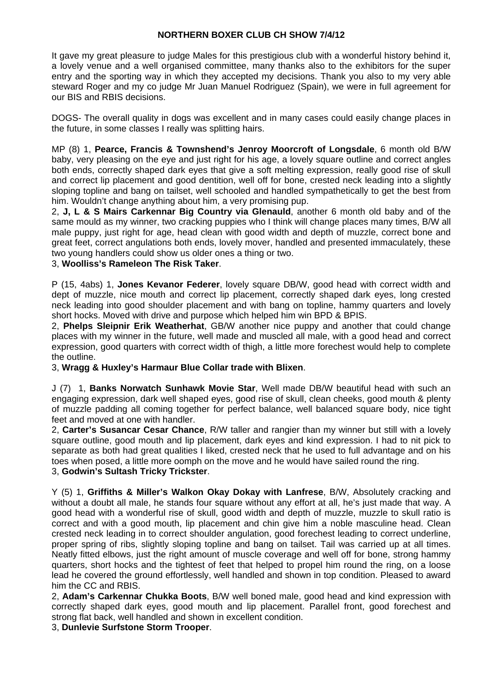#### **NORTHERN BOXER CLUB CH SHOW 7/4/12**

It gave my great pleasure to judge Males for this prestigious club with a wonderful history behind it, a lovely venue and a well organised committee, many thanks also to the exhibitors for the super entry and the sporting way in which they accepted my decisions. Thank you also to my very able steward Roger and my co judge Mr Juan Manuel Rodriguez (Spain), we were in full agreement for our BIS and RBIS decisions.

DOGS- The overall quality in dogs was excellent and in many cases could easily change places in the future, in some classes I really was splitting hairs.

MP (8) 1, **Pearce, Francis & Townshend's Jenroy Moorcroft of Longsdale**, 6 month old B/W baby, very pleasing on the eye and just right for his age, a lovely square outline and correct angles both ends, correctly shaped dark eyes that give a soft melting expression, really good rise of skull and correct lip placement and good dentition, well off for bone, crested neck leading into a slightly sloping topline and bang on tailset, well schooled and handled sympathetically to get the best from him. Wouldn't change anything about him, a very promising pup.

2, **J, L & S Mairs Carkennar Big Country via Glenauld**, another 6 month old baby and of the same mould as my winner, two cracking puppies who I think will change places many times, B/W all male puppy, just right for age, head clean with good width and depth of muzzle, correct bone and great feet, correct angulations both ends, lovely mover, handled and presented immaculately, these two young handlers could show us older ones a thing or two.

3, **Woolliss's Rameleon The Risk Taker**.

P (15, 4abs) 1, **Jones Kevanor Federer**, lovely square DB/W, good head with correct width and dept of muzzle, nice mouth and correct lip placement, correctly shaped dark eyes, long crested neck leading into good shoulder placement and with bang on topline, hammy quarters and lovely short hocks. Moved with drive and purpose which helped him win BPD & BPIS.

2, **Phelps Sleipnir Erik Weatherhat**, GB/W another nice puppy and another that could change places with my winner in the future, well made and muscled all male, with a good head and correct expression, good quarters with correct width of thigh, a little more forechest would help to complete the outline.

3, **Wragg & Huxley's Harmaur Blue Collar trade with Blixen**.

J (7) 1, **Banks Norwatch Sunhawk Movie Star**, Well made DB/W beautiful head with such an engaging expression, dark well shaped eyes, good rise of skull, clean cheeks, good mouth & plenty of muzzle padding all coming together for perfect balance, well balanced square body, nice tight feet and moved at one with handler.

2, **Carter's Susancar Cesar Chance**, R/W taller and rangier than my winner but still with a lovely square outline, good mouth and lip placement, dark eyes and kind expression. I had to nit pick to separate as both had great qualities I liked, crested neck that he used to full advantage and on his toes when posed, a little more oomph on the move and he would have sailed round the ring. 3, **Godwin's Sultash Tricky Trickster**.

Y (5) 1, **Griffiths & Miller's Walkon Okay Dokay with Lanfrese**, B/W, Absolutely cracking and without a doubt all male, he stands four square without any effort at all, he's just made that way. A good head with a wonderful rise of skull, good width and depth of muzzle, muzzle to skull ratio is correct and with a good mouth, lip placement and chin give him a noble masculine head. Clean crested neck leading in to correct shoulder angulation, good forechest leading to correct underline, proper spring of ribs, slightly sloping topline and bang on tailset. Tail was carried up at all times. Neatly fitted elbows, just the right amount of muscle coverage and well off for bone, strong hammy quarters, short hocks and the tightest of feet that helped to propel him round the ring, on a loose lead he covered the ground effortlessly, well handled and shown in top condition. Pleased to award him the CC and RBIS.

2, **Adam's Carkennar Chukka Boots**, B/W well boned male, good head and kind expression with correctly shaped dark eyes, good mouth and lip placement. Parallel front, good forechest and strong flat back, well handled and shown in excellent condition.

3, **Dunlevie Surfstone Storm Trooper**.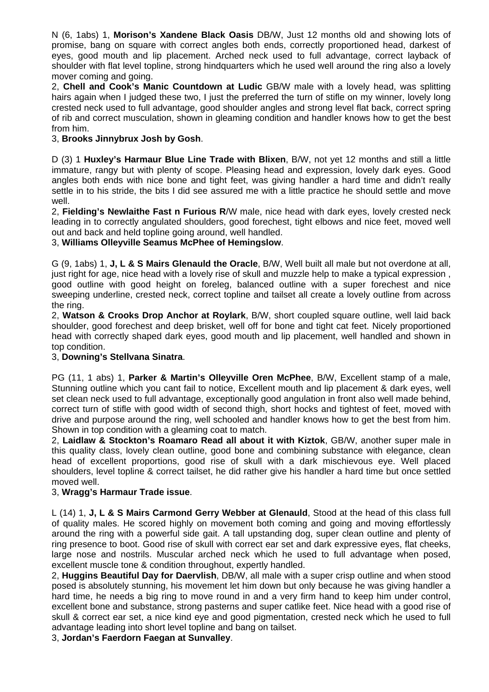N (6, 1abs) 1, **Morison's Xandene Black Oasis** DB/W, Just 12 months old and showing lots of promise, bang on square with correct angles both ends, correctly proportioned head, darkest of eyes, good mouth and lip placement. Arched neck used to full advantage, correct layback of shoulder with flat level topline, strong hindquarters which he used well around the ring also a lovely mover coming and going.

2, **Chell and Cook's Manic Countdown at Ludic** GB/W male with a lovely head, was splitting hairs again when I judged these two, I just the preferred the turn of stifle on my winner, lovely long crested neck used to full advantage, good shoulder angles and strong level flat back, correct spring of rib and correct musculation, shown in gleaming condition and handler knows how to get the best from him.

## 3, **Brooks Jinnybrux Josh by Gosh**.

D (3) 1 **Huxley's Harmaur Blue Line Trade with Blixen**, B/W, not yet 12 months and still a little immature, rangy but with plenty of scope. Pleasing head and expression, lovely dark eyes. Good angles both ends with nice bone and tight feet, was giving handler a hard time and didn't really settle in to his stride, the bits I did see assured me with a little practice he should settle and move well.

2, **Fielding's Newlaithe Fast n Furious R**/W male, nice head with dark eyes, lovely crested neck leading in to correctly angulated shoulders, good forechest, tight elbows and nice feet, moved well out and back and held topline going around, well handled.

# 3, **Williams Olleyville Seamus McPhee of Hemingslow**.

G (9, 1abs) 1, **J, L & S Mairs Glenauld the Oracle**, B/W, Well built all male but not overdone at all, just right for age, nice head with a lovely rise of skull and muzzle help to make a typical expression , good outline with good height on foreleg, balanced outline with a super forechest and nice sweeping underline, crested neck, correct topline and tailset all create a lovely outline from across the ring.

2, **Watson & Crooks Drop Anchor at Roylark**, B/W, short coupled square outline, well laid back shoulder, good forechest and deep brisket, well off for bone and tight cat feet. Nicely proportioned head with correctly shaped dark eyes, good mouth and lip placement, well handled and shown in top condition.

### 3, **Downing's Stellvana Sinatra**.

PG (11, 1 abs) 1, **Parker & Martin's Olleyville Oren McPhee**, B/W, Excellent stamp of a male, Stunning outline which you cant fail to notice, Excellent mouth and lip placement & dark eyes, well set clean neck used to full advantage, exceptionally good angulation in front also well made behind, correct turn of stifle with good width of second thigh, short hocks and tightest of feet, moved with drive and purpose around the ring, well schooled and handler knows how to get the best from him. Shown in top condition with a gleaming coat to match.

2, **Laidlaw & Stockton's Roamaro Read all about it with Kiztok**, GB/W, another super male in this quality class, lovely clean outline, good bone and combining substance with elegance, clean head of excellent proportions, good rise of skull with a dark mischievous eye. Well placed shoulders, level topline & correct tailset, he did rather give his handler a hard time but once settled moved well.

### 3, **Wragg's Harmaur Trade issue**.

L (14) 1, **J, L & S Mairs Carmond Gerry Webber at Glenauld**, Stood at the head of this class full of quality males. He scored highly on movement both coming and going and moving effortlessly around the ring with a powerful side gait. A tall upstanding dog, super clean outline and plenty of ring presence to boot. Good rise of skull with correct ear set and dark expressive eyes, flat cheeks, large nose and nostrils. Muscular arched neck which he used to full advantage when posed, excellent muscle tone & condition throughout, expertly handled.

2, **Huggins Beautiful Day for Daervlish**, DB/W, all male with a super crisp outline and when stood posed is absolutely stunning, his movement let him down but only because he was giving handler a hard time, he needs a big ring to move round in and a very firm hand to keep him under control, excellent bone and substance, strong pasterns and super catlike feet. Nice head with a good rise of skull & correct ear set, a nice kind eye and good pigmentation, crested neck which he used to full advantage leading into short level topline and bang on tailset.

3, **Jordan's Faerdorn Faegan at Sunvalley**.